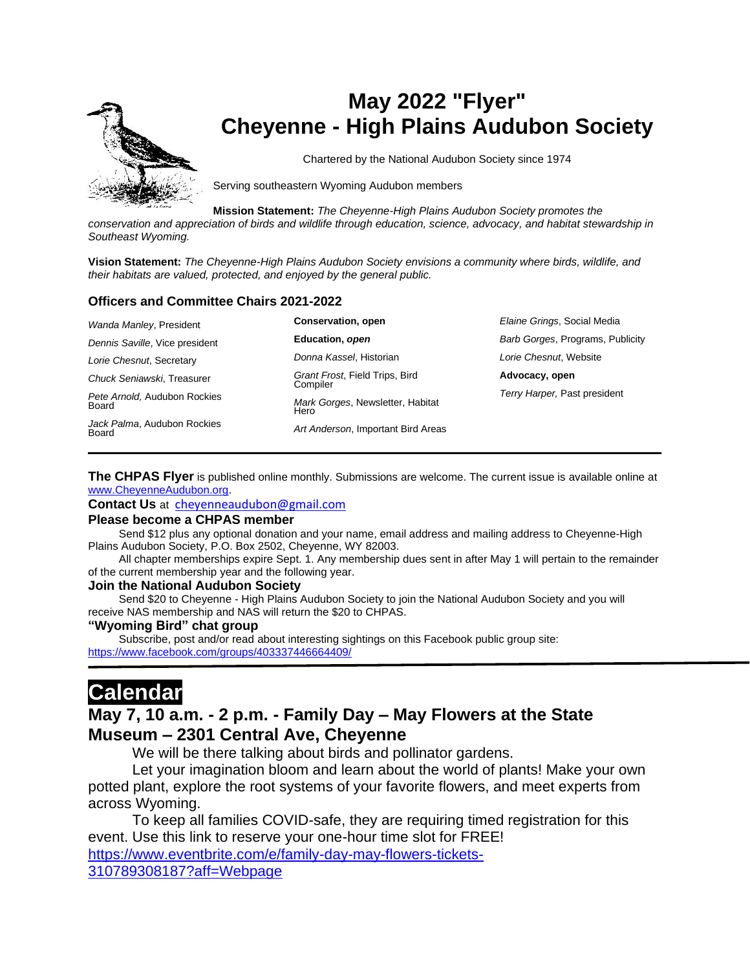

# **May 2022 "Flyer" Cheyenne - High Plains Audubon Society**

Chartered by the National Audubon Society since 1974

Serving southeastern Wyoming Audubon members

**Mission Statement:** *The Cheyenne-High Plains Audubon Society promotes the* 

*conservation and appreciation of birds and wildlife through education, science, advocacy, and habitat stewardship in Southeast Wyoming.*

**Vision Statement:** *The Cheyenne-High Plains Audubon Society envisions a community where birds, wildlife, and their habitats are valued, protected, and enjoyed by the general public.*

#### **Officers and Committee Chairs 2021-2022**

| Wanda Manley, President               | Conservation, open                         | Elaine Grings, Social Media      |
|---------------------------------------|--------------------------------------------|----------------------------------|
| Dennis Saville, Vice president        | Education, open                            | Barb Gorges, Programs, Publicity |
| Lorie Chesnut, Secretary              | Donna Kassel, Historian                    | Lorie Chesnut, Website           |
| Chuck Seniawski, Treasurer            | Grant Frost, Field Trips, Bird<br>Compiler | Advocacy, open                   |
| Pete Arnold, Audubon Rockies<br>Board | Mark Gorges, Newsletter, Habitat<br>Hero   | Terry Harper, Past president     |
| Jack Palma, Audubon Rockies<br>Board  | Art Anderson, Important Bird Areas         |                                  |

**The CHPAS Flyer** is published online monthly. Submissions are welcome. The current issue is available online at [www.CheyenneAudubon.org.](http://www.cheyenneaudubon.org/)

**Contact Us** at [cheyenneaudubon@gmail.com](mailto:cheyenneaudubon@gmail.com)

#### **Please become a CHPAS member**

 Send \$12 plus any optional donation and your name, email address and mailing address to Cheyenne-High Plains Audubon Society, P.O. Box 2502, Cheyenne, WY 82003.

 All chapter memberships expire Sept. 1. Any membership dues sent in after May 1 will pertain to the remainder of the current membership year and the following year.

#### **Join the National Audubon Society**

 Send \$20 to Cheyenne - High Plains Audubon Society to join the National Audubon Society and you will receive NAS membership and NAS will return the \$20 to CHPAS.

#### **"Wyoming Bird" chat group**

 Subscribe, post and/or read about interesting sightings on this Facebook public group site: <https://www.facebook.com/groups/403337446664409/>

# **Calendar**

### **May 7, 10 a.m. - 2 p.m. - Family Day – May Flowers at the State Museum – 2301 Central Ave, Cheyenne**

We will be there talking about birds and pollinator gardens.

Let your imagination bloom and learn about the world of plants! Make your own potted plant, explore the root systems of your favorite flowers, and meet experts from across Wyoming.

To keep all families COVID-safe, they are requiring timed registration for this event. Use this link to reserve your one-hour time slot for FREE[!](https://www.google.com/url?q=https%3A%2F%2Fwww.eventbrite.com%2Fe%2Ffamily-day-may-flowers-tickets-310789308187%3Faff%3DWebpage&sa=D&ust=1651953040128000&usg=AOvVaw3xjv7cArTgWqvx0y9AJVeO) [https://www.eventbrite.com/e/family-day-may-flowers-tickets-](https://www.google.com/url?q=https%3A%2F%2Fwww.eventbrite.com%2Fe%2Ffamily-day-may-flowers-tickets-310789308187%3Faff%3DWebpage&sa=D&ust=1651953040128000&usg=AOvVaw3xjv7cArTgWqvx0y9AJVeO)[310789308187?aff=Webpage](https://www.google.com/url?q=https%3A%2F%2Fwww.eventbrite.com%2Fe%2Ffamily-day-may-flowers-tickets-310789308187%3Faff%3DWebpage&sa=D&ust=1651953040128000&usg=AOvVaw3xjv7cArTgWqvx0y9AJVeO)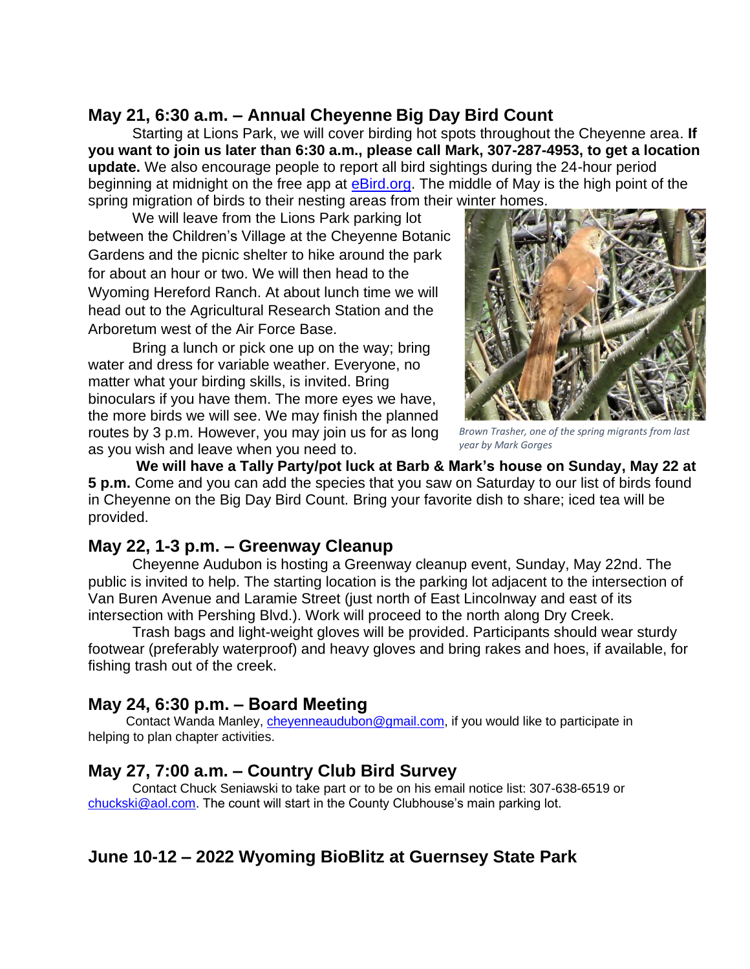## **May 21, 6:30 a.m. – Annual Cheyenne Big Day Bird Count**

Starting at Lions Park, we will cover birding hot spots throughout the Cheyenne area. **If you want to join us later than 6:30 a.m., please call Mark, 307-287-4953, to get a location update.** We also encourage people to report all bird sightings during the 24-hour period beginning at midnight on the free app at **eBird.org**. The middle of May is the high point of the spring migration of birds to their nesting areas from their winter homes.

We will leave from the Lions Park parking lot between the Children's Village at the Cheyenne Botanic Gardens and the picnic shelter to hike around the park for about an hour or two. We will then head to the Wyoming Hereford Ranch. At about lunch time we will head out to the Agricultural Research Station and the Arboretum west of the Air Force Base.

Bring a lunch or pick one up on the way; bring water and dress for variable weather. Everyone, no matter what your birding skills, is invited. Bring binoculars if you have them. The more eyes we have, the more birds we will see. We may finish the planned routes by 3 p.m. However, you may join us for as long as you wish and leave when you need to.



*Brown Trasher, one of the spring migrants from last year by Mark Gorges*

**We will have a Tally Party/pot luck at Barb & Mark's house on Sunday, May 22 at 5 p.m.** Come and you can add the species that you saw on Saturday to our list of birds found in Cheyenne on the Big Day Bird Count. Bring your favorite dish to share; iced tea will be provided.

## **May 22, 1-3 p.m. – Greenway Cleanup**

Cheyenne Audubon is hosting a Greenway cleanup event, Sunday, May 22nd. The public is invited to help. The starting location is the parking lot adjacent to the intersection of Van Buren Avenue and Laramie Street (just north of East Lincolnway and east of its intersection with Pershing Blvd.). Work will proceed to the north along Dry Creek.

Trash bags and light-weight gloves will be provided. Participants should wear sturdy footwear (preferably waterproof) and heavy gloves and bring rakes and hoes, if available, for fishing trash out of the creek.

### **May 24, 6:30 p.m. – Board Meeting**

Contact Wanda Manley, [cheyenneaudubon@gmail.com,](mailto:cheyenneaudubon@gmail.com) if you would like to participate in helping to plan chapter activities.

### **May 27, 7:00 a.m. – Country Club Bird Survey**

Contact Chuck Seniawski to take part or to be on his email notice list: 307-638-6519 or [chuckski@aol.com.](mailto:chuckski@aol.com) The count will start in the County Clubhouse's main parking lot.

## **June 10-12 – 2022 Wyoming BioBlitz at Guernsey State Park**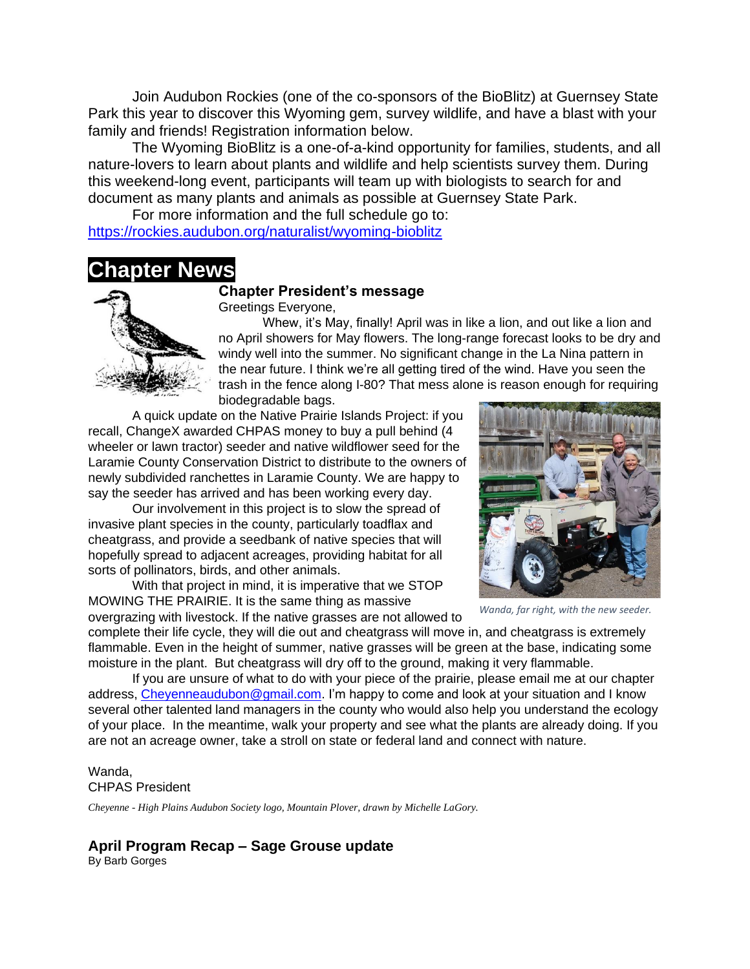Join Audubon Rockies (one of the co-sponsors of the BioBlitz) at Guernsey State Park this year to discover this Wyoming gem, survey wildlife, and have a blast with your family and friends! Registration information below.

The Wyoming BioBlitz is a one-of-a-kind opportunity for families, students, and all nature-lovers to learn about plants and wildlife and help scientists survey them. During this weekend-long event, participants will team up with biologists to search for and document as many plants and animals as possible at Guernsey State Park.

For more information and the full schedule go to: <https://rockies.audubon.org/naturalist/wyoming-bioblitz>

# **Chapter News**



#### **Chapter President's message**

Greetings Everyone,

Whew, it's May, finally! April was in like a lion, and out like a lion and no April showers for May flowers. The long-range forecast looks to be dry and windy well into the summer. No significant change in the La Nina pattern in the near future. I think we're all getting tired of the wind. Have you seen the trash in the fence along I-80? That mess alone is reason enough for requiring biodegradable bags.

A quick update on the Native Prairie Islands Project: if you recall, ChangeX awarded CHPAS money to buy a pull behind (4 wheeler or lawn tractor) seeder and native wildflower seed for the Laramie County Conservation District to distribute to the owners of newly subdivided ranchettes in Laramie County. We are happy to say the seeder has arrived and has been working every day.

Our involvement in this project is to slow the spread of invasive plant species in the county, particularly toadflax and cheatgrass, and provide a seedbank of native species that will hopefully spread to adjacent acreages, providing habitat for all sorts of pollinators, birds, and other animals.

With that project in mind, it is imperative that we STOP MOWING THE PRAIRIE. It is the same thing as massive overgrazing with livestock. If the native grasses are not allowed to

*Wanda, far right, with the new seeder.*

complete their life cycle, they will die out and cheatgrass will move in, and cheatgrass is extremely flammable. Even in the height of summer, native grasses will be green at the base, indicating some moisture in the plant. But cheatgrass will dry off to the ground, making it very flammable.

If you are unsure of what to do with your piece of the prairie, please email me at our chapter address, [Cheyenneaudubon@gmail.com.](Cheyenneaudubon@gmail.com) I'm happy to come and look at your situation and I know several other talented land managers in the county who would also help you understand the ecology of your place. In the meantime, walk your property and see what the plants are already doing. If you are not an acreage owner, take a stroll on state or federal land and connect with nature.

Wanda, CHPAS President

*Cheyenne - High Plains Audubon Society logo, Mountain Plover, drawn by Michelle LaGory.*

#### **April Program Recap – Sage Grouse update**

By Barb Gorges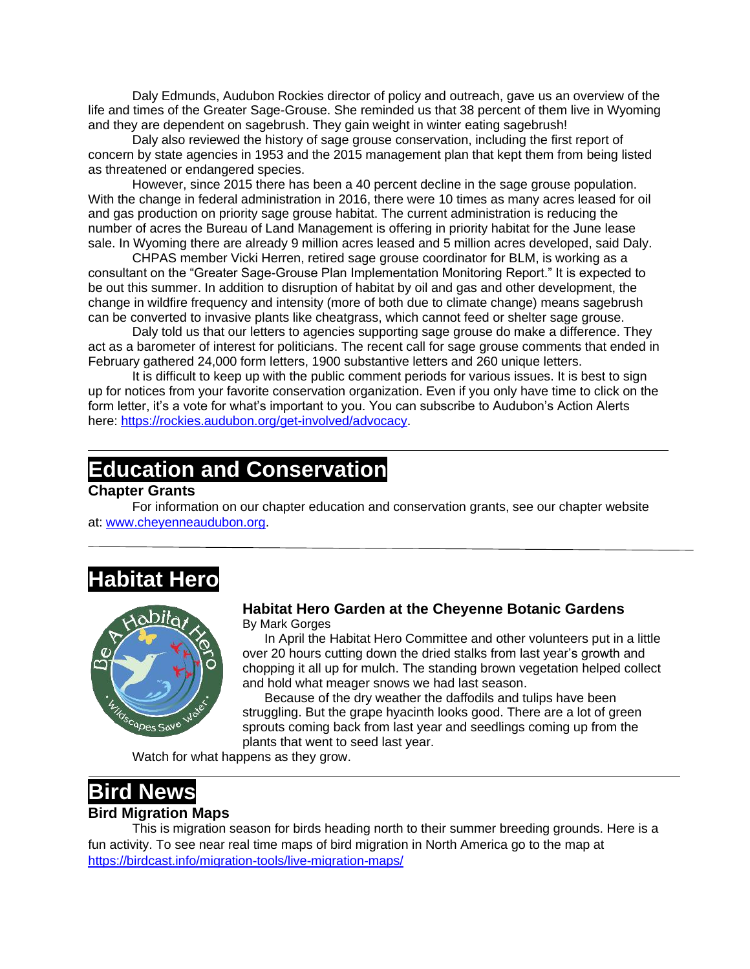Daly Edmunds, Audubon Rockies director of policy and outreach, gave us an overview of the life and times of the Greater Sage-Grouse. She reminded us that 38 percent of them live in Wyoming and they are dependent on sagebrush. They gain weight in winter eating sagebrush!

Daly also reviewed the history of sage grouse conservation, including the first report of concern by state agencies in 1953 and the 2015 management plan that kept them from being listed as threatened or endangered species.

However, since 2015 there has been a 40 percent decline in the sage grouse population. With the change in federal administration in 2016, there were 10 times as many acres leased for oil and gas production on priority sage grouse habitat. The current administration is reducing the number of acres the Bureau of Land Management is offering in priority habitat for the June lease sale. In Wyoming there are already 9 million acres leased and 5 million acres developed, said Daly.

CHPAS member Vicki Herren, retired sage grouse coordinator for BLM, is working as a consultant on the "Greater Sage-Grouse Plan Implementation Monitoring Report." It is expected to be out this summer. In addition to disruption of habitat by oil and gas and other development, the change in wildfire frequency and intensity (more of both due to climate change) means sagebrush can be converted to invasive plants like cheatgrass, which cannot feed or shelter sage grouse.

Daly told us that our letters to agencies supporting sage grouse do make a difference. They act as a barometer of interest for politicians. The recent call for sage grouse comments that ended in February gathered 24,000 form letters, 1900 substantive letters and 260 unique letters.

It is difficult to keep up with the public comment periods for various issues. It is best to sign up for notices from your favorite conservation organization. Even if you only have time to click on the form letter, it's a vote for what's important to you. You can subscribe to Audubon's Action Alerts here: [https://rockies.audubon.org/get-involved/advocacy.](https://rockies.audubon.org/get-involved/advocacy)

# **Education and Conservation**

#### **Chapter Grants**

For information on our chapter education and conservation grants, see our chapter website at: [www.cheyenneaudubon.org.](http://www.cheyenneaudubon.org/)

# **Habitat Hero**



#### **Habitat Hero Garden at the Cheyenne Botanic Gardens** By Mark Gorges

In April the Habitat Hero Committee and other volunteers put in a little over 20 hours cutting down the dried stalks from last year's growth and chopping it all up for mulch. The standing brown vegetation helped collect and hold what meager snows we had last season.

Because of the dry weather the daffodils and tulips have been struggling. But the grape hyacinth looks good. There are a lot of green sprouts coming back from last year and seedlings coming up from the plants that went to seed last year.

Watch for what happens as they grow.

## **Bird News Bird Migration Maps**

This is migration season for birds heading north to their summer breeding grounds. Here is a fun activity. To see near real time maps of bird migration in North America go to the map at <https://birdcast.info/migration-tools/live-migration-maps/>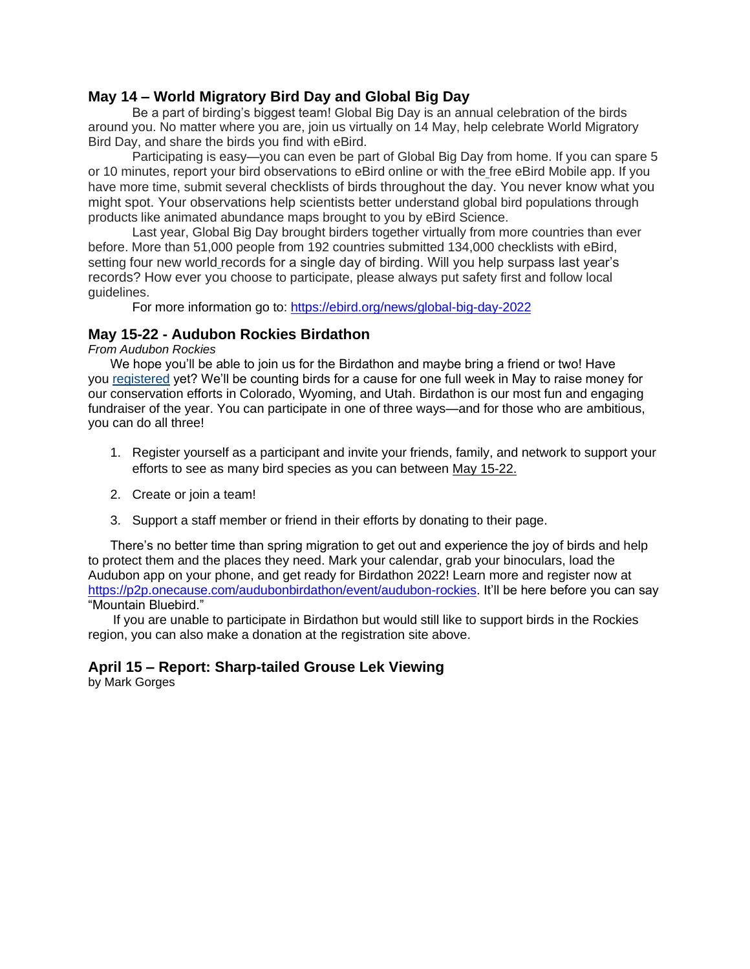### **May 14 – World Migratory Bird Day and Global Big Day**

Be a part of birding's biggest team! Global Big Day is an annual celebration of the birds around you. No matter where you are, join us virtually on 14 May, help celebrate World Migratory Bird Day, and share the birds you find with eBird.

Participating is easy—you can even be part of Global Big Day from home. If you can spare 5 or 10 minutes, report your bird observations to eBird online or with the free eBird Mobile app. If you have more time, submit several checklists of birds throughout the day. You never know what you might spot. Your observations help scientists better understand global bird populations through products like animated abundance maps brought to you by eBird Science.

Last year, Global Big Day brought birders together virtually from more countries than ever before. More than 51,000 people from 192 countries submitted 134,000 checklists with eBird, setting four new world records for a single day of birding. Will you help surpass last year's records? How ever you choose to participate, please always put safety first and follow local guidelines.

For more information go to:<https://ebird.org/news/global-big-day-2022>

#### **May 15-22 - Audubon Rockies Birdathon**

*From Audubon Rockies*

We hope you'll be able to join us for the Birdathon and maybe bring a friend or two! Have you [registered](https://click.everyaction.com/k/44618339/342381782/-690263592?nvep=ew0KICAiVGVuYW50VXJpIjogIm5ncHZhbjovL3Zhbi9UU00vVFNNQVUvMS81OTEwMiIsDQogICJEaXN0cmlidXRpb25VbmlxdWVJZCI6ICI5MDE5YzgxZS00M2M2LWVjMTEtOTk3ZS0yODE4NzhiODNkOGEiLA0KICAiRW1haWxBZGRyZXNzIjogImF1ZHVib24uaGFiaXRhdGhlcm9AZ21haWwuY29tIg0KfQ%3D%3D&hmac=wyu45lKnwsiJps84DLXYJB7bQJUg2H0QKGYtG83autI=&emci=d7af4134-e6c4-ec11-997e-281878b83d8a&emdi=9019c81e-43c6-ec11-997e-281878b83d8a&ceid=728584) yet? We'll be counting birds for a cause for one full week in May to raise money for our conservation efforts in Colorado, Wyoming, and Utah. Birdathon is our most fun and engaging fundraiser of the year. You can participate in one of three ways—and for those who are ambitious, you can do all three!

- 1. Register yourself as a participant and invite your friends, family, and network to support your efforts to see as many bird species as you can between May 15-22.
- 2. Create or join a team!
- 3. Support a staff member or friend in their efforts by donating to their page.

There's no better time than spring migration to get out and experience the joy of birds and help to protect them and the places they need. Mark your calendar, grab your binoculars, load the Audubon app on your phone, and get ready for Birdathon 2022! Learn more and register now at [https://p2p.onecause.com/audubonbirdathon/event/audubon-rockies.](https://p2p.onecause.com/audubonbirdathon/event/audubon-rockies) It'll be here before you can say "Mountain Bluebird."

 If you are unable to participate in Birdathon but would still like to support birds in the Rockies region, you can also make a donation at the registration site above.

### **April 15 – Report: Sharp-tailed Grouse Lek Viewing**

by Mark Gorges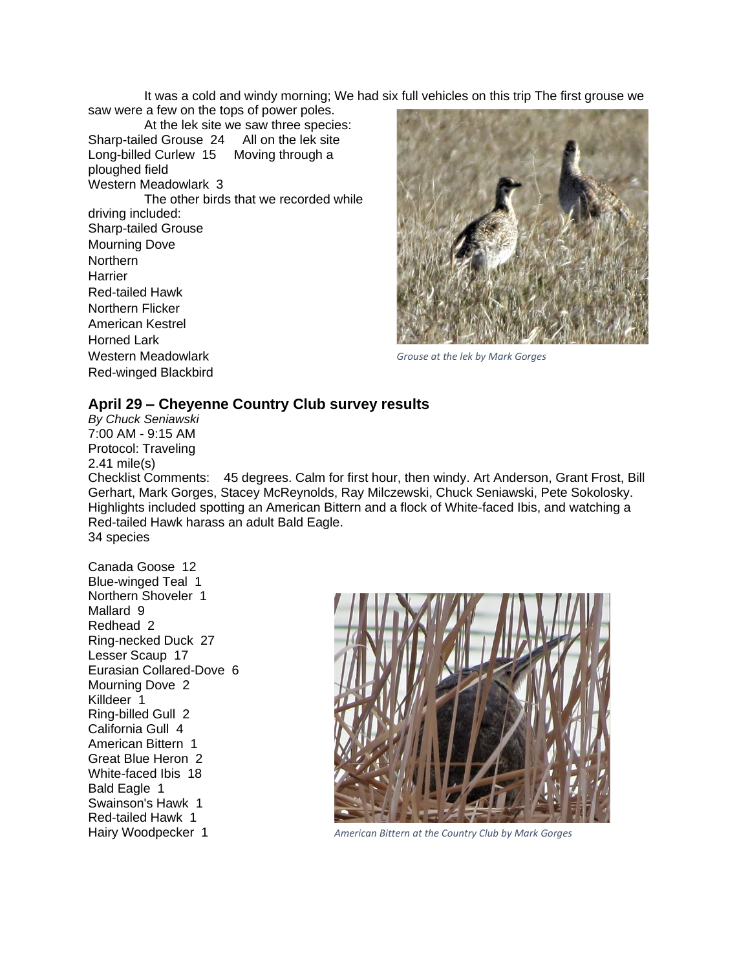It was a cold and windy morning; We had six full vehicles on this trip The first grouse we saw were a few on the tops of power poles.

At the lek site we saw three species: Sharp-tailed Grouse 24 All on the lek site Long-billed Curlew 15 Moving through a ploughed field Western Meadowlark 3 The other birds that we recorded while driving included: Sharp-tailed Grouse Mourning Dove Northern **Harrier** Red-tailed Hawk Northern Flicker American Kestrel Horned Lark Western Meadowlark Red-winged Blackbird



*Grouse at the lek by Mark Gorges*

#### **April 29 – Cheyenne Country Club survey results**

*By Chuck Seniawski* 7:00 AM - 9:15 AM Protocol: Traveling 2.41 mile(s) Checklist Comments: 45 degrees. Calm for first hour, then windy. Art Anderson, Grant Frost, Bill Gerhart, Mark Gorges, Stacey McReynolds, Ray Milczewski, Chuck Seniawski, Pete Sokolosky. Highlights included spotting an American Bittern and a flock of White-faced Ibis, and watching a Red-tailed Hawk harass an adult Bald Eagle. 34 species

Canada Goose 12 Blue-winged Teal 1 Northern Shoveler 1 Mallard 9 Redhead 2 Ring-necked Duck 27 Lesser Scaup 17 Eurasian Collared-Dove 6 Mourning Dove 2 Killdeer 1 Ring-billed Gull 2 California Gull 4 American Bittern 1 Great Blue Heron 2 White-faced Ibis 18 Bald Eagle 1 Swainson's Hawk 1 Red-tailed Hawk 1



Hairy Woodpecker 1 *American Bittern at the Country Club by Mark Gorges*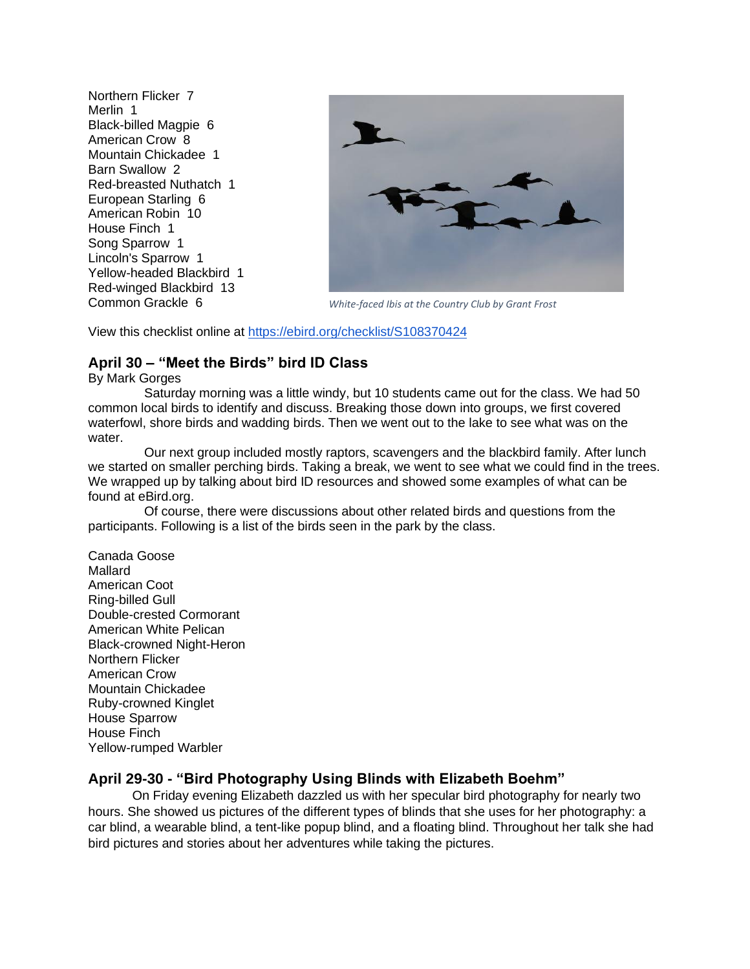Northern Flicker 7 Merlin 1 Black-billed Magpie 6 American Crow 8 Mountain Chickadee 1 Barn Swallow 2 Red-breasted Nuthatch 1 European Starling 6 American Robin 10 House Finch 1 Song Sparrow 1 Lincoln's Sparrow 1 Yellow-headed Blackbird 1 Red-winged Blackbird 13 Common Grackle 6



*White-faced Ibis at the Country Club by Grant Frost*

View this checklist online at <https://ebird.org/checklist/S108370424>

### **April 30 – "Meet the Birds" bird ID Class**

By Mark Gorges

Saturday morning was a little windy, but 10 students came out for the class. We had 50 common local birds to identify and discuss. Breaking those down into groups, we first covered waterfowl, shore birds and wadding birds. Then we went out to the lake to see what was on the water.

Our next group included mostly raptors, scavengers and the blackbird family. After lunch we started on smaller perching birds. Taking a break, we went to see what we could find in the trees. We wrapped up by talking about bird ID resources and showed some examples of what can be found at eBird.org.

Of course, there were discussions about other related birds and questions from the participants. Following is a list of the birds seen in the park by the class.

Canada Goose Mallard American Coot Ring-billed Gull Double-crested Cormorant American White Pelican Black-crowned Night-Heron Northern Flicker American Crow Mountain Chickadee Ruby-crowned Kinglet House Sparrow House Finch Yellow-rumped Warbler

### **April 29-30 - "Bird Photography Using Blinds with Elizabeth Boehm"**

On Friday evening Elizabeth dazzled us with her specular bird photography for nearly two hours. She showed us pictures of the different types of blinds that she uses for her photography: a car blind, a wearable blind, a tent-like popup blind, and a floating blind. Throughout her talk she had bird pictures and stories about her adventures while taking the pictures.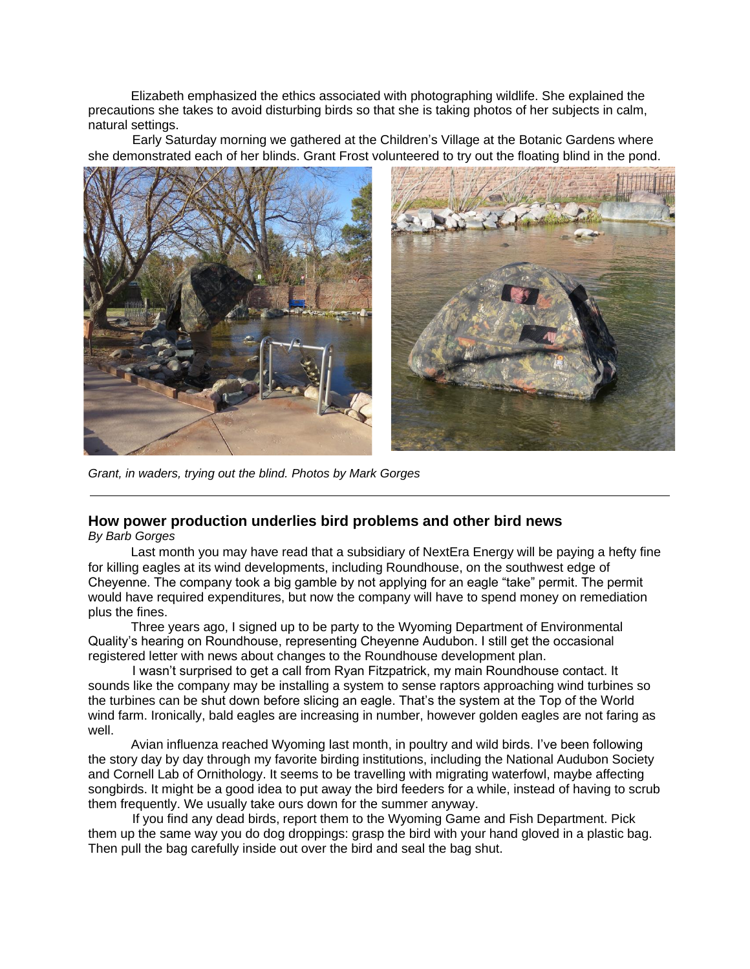Elizabeth emphasized the ethics associated with photographing wildlife. She explained the precautions she takes to avoid disturbing birds so that she is taking photos of her subjects in calm, natural settings.

Early Saturday morning we gathered at the Children's Village at the Botanic Gardens where she demonstrated each of her blinds. Grant Frost volunteered to try out the floating blind in the pond.



*Grant, in waders, trying out the blind. Photos by Mark Gorges*

### **How power production underlies bird problems and other bird news**

*By Barb Gorges*

 Last month you may have read that a subsidiary of NextEra Energy will be paying a hefty fine for killing eagles at its wind developments, including Roundhouse, on the southwest edge of Cheyenne. The company took a big gamble by not applying for an eagle "take" permit. The permit would have required expenditures, but now the company will have to spend money on remediation plus the fines.

 Three years ago, I signed up to be party to the Wyoming Department of Environmental Quality's hearing on Roundhouse, representing Cheyenne Audubon. I still get the occasional registered letter with news about changes to the Roundhouse development plan.

I wasn't surprised to get a call from Ryan Fitzpatrick, my main Roundhouse contact. It sounds like the company may be installing a system to sense raptors approaching wind turbines so the turbines can be shut down before slicing an eagle. That's the system at the Top of the World wind farm. Ironically, bald eagles are increasing in number, however golden eagles are not faring as well.

 Avian influenza reached Wyoming last month, in poultry and wild birds. I've been following the story day by day through my favorite birding institutions, including the National Audubon Society and Cornell Lab of Ornithology. It seems to be travelling with migrating waterfowl, maybe affecting songbirds. It might be a good idea to put away the bird feeders for a while, instead of having to scrub them frequently. We usually take ours down for the summer anyway.

If you find any dead birds, report them to the Wyoming Game and Fish Department. Pick them up the same way you do dog droppings: grasp the bird with your hand gloved in a plastic bag. Then pull the bag carefully inside out over the bird and seal the bag shut.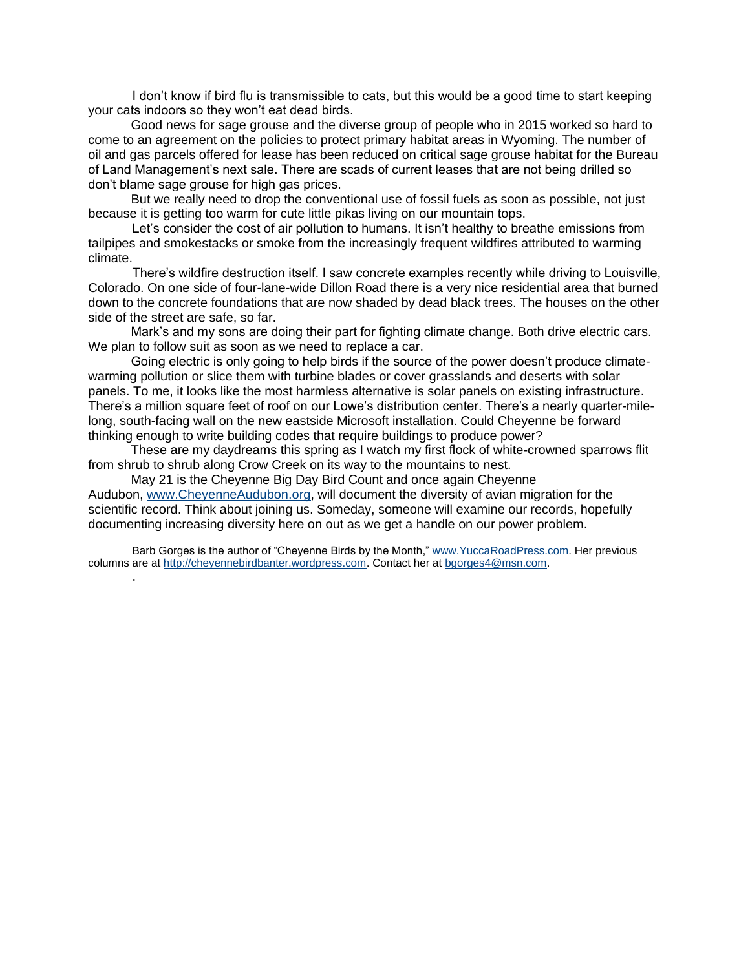I don't know if bird flu is transmissible to cats, but this would be a good time to start keeping your cats indoors so they won't eat dead birds.

 Good news for sage grouse and the diverse group of people who in 2015 worked so hard to come to an agreement on the policies to protect primary habitat areas in Wyoming. The number of oil and gas parcels offered for lease has been reduced on critical sage grouse habitat for the Bureau of Land Management's next sale. There are scads of current leases that are not being drilled so don't blame sage grouse for high gas prices.

 But we really need to drop the conventional use of fossil fuels as soon as possible, not just because it is getting too warm for cute little pikas living on our mountain tops.

Let's consider the cost of air pollution to humans. It isn't healthy to breathe emissions from tailpipes and smokestacks or smoke from the increasingly frequent wildfires attributed to warming climate.

There's wildfire destruction itself. I saw concrete examples recently while driving to Louisville, Colorado. On one side of four-lane-wide Dillon Road there is a very nice residential area that burned down to the concrete foundations that are now shaded by dead black trees. The houses on the other side of the street are safe, so far.

 Mark's and my sons are doing their part for fighting climate change. Both drive electric cars. We plan to follow suit as soon as we need to replace a car.

 Going electric is only going to help birds if the source of the power doesn't produce climatewarming pollution or slice them with turbine blades or cover grasslands and deserts with solar panels. To me, it looks like the most harmless alternative is solar panels on existing infrastructure. There's a million square feet of roof on our Lowe's distribution center. There's a nearly quarter-milelong, south-facing wall on the new eastside Microsoft installation. Could Cheyenne be forward thinking enough to write building codes that require buildings to produce power?

 These are my daydreams this spring as I watch my first flock of white-crowned sparrows flit from shrub to shrub along Crow Creek on its way to the mountains to nest.

 May 21 is the Cheyenne Big Day Bird Count and once again Cheyenne Audubon, [www.CheyenneAudubon.org,](http://www.cheyenneaudubon.org/) will document the diversity of avian migration for the scientific record. Think about joining us. Someday, someone will examine our records, hopefully documenting increasing diversity here on out as we get a handle on our power problem.

Barb Gorges is the author of "Cheyenne Birds by the Month," [www.YuccaRoadPress.com.](http://www.yuccaroadpress.com/) Her previous columns are at [http://cheyennebirdbanter.wordpress.com.](http://cheyennebirdbanter.wordpress.com/) Contact her at [bgorges4@msn.com.](https://webmailb.juno.com/webmail/new/5?session_redirect=true&userinfo=70b6f59402effea0de4196f98a9e6457&count=1646076306&cf=sp&randid=1574463213)

.